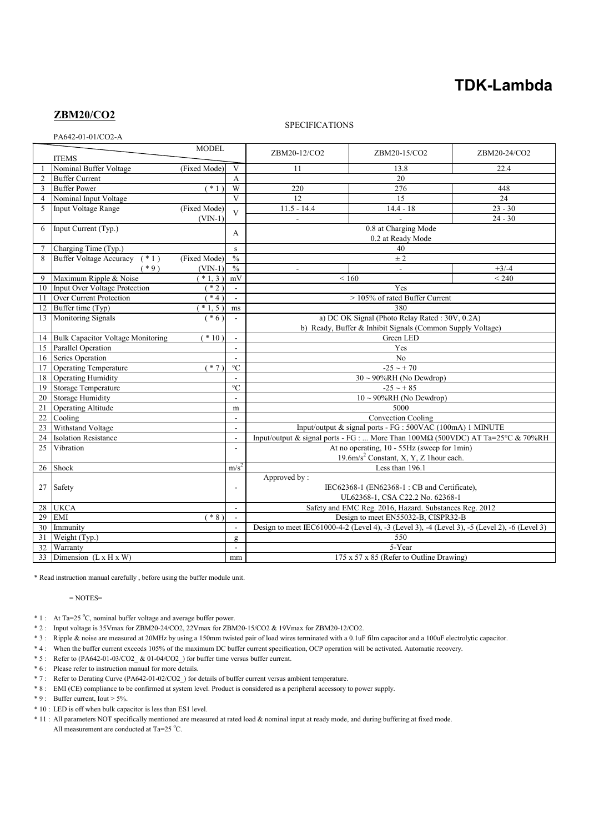# **TDK-Lambda**

# **ZBM20/CO2**

## SPECIFICATIONS

PA642-01-01/CO2-A

| 17972-01-01/CO2-7 |                                           |                 |                         |                                                                                               |                 |              |
|-------------------|-------------------------------------------|-----------------|-------------------------|-----------------------------------------------------------------------------------------------|-----------------|--------------|
|                   |                                           | <b>MODEL</b>    |                         | ZBM20-12/CO2                                                                                  | ZBM20-15/CO2    | ZBM20-24/CO2 |
|                   | <b>ITEMS</b>                              |                 |                         |                                                                                               |                 |              |
|                   | Nominal Buffer Voltage                    | (Fixed Mode)    | V                       | 11                                                                                            | 13.8            | 22.4         |
| $\overline{2}$    | <b>Buffer Current</b>                     |                 | A                       | 20                                                                                            |                 |              |
| 3                 | <b>Buffer Power</b>                       | $\overline{1})$ | W                       | 220                                                                                           | $\frac{276}{ }$ | 448          |
| $\overline{4}$    | Nominal Input Voltage                     |                 | $\mathbf{V}$            | 12                                                                                            | 15              | 24           |
| 5                 | <b>Input Voltage Range</b>                | (Fixed Mode)    | $\overline{\mathbf{V}}$ | $11.5 - 14.4$                                                                                 | $14.4 - 18$     | $23 - 30$    |
|                   |                                           | $(VIN-1)$       |                         | $\overline{a}$                                                                                |                 | $24 - 30$    |
| 6                 | Input Current (Typ.)                      |                 |                         | 0.8 at Charging Mode<br>0.2 at Ready Mode                                                     |                 |              |
|                   |                                           |                 | A                       |                                                                                               |                 |              |
|                   | Charging Time (Typ.)                      |                 | S                       | 40                                                                                            |                 |              |
| 8                 | <b>Buffer Voltage Accuracy</b><br>$(* 1)$ | (Fixed Mode)    | $\frac{0}{0}$           | $\pm 2$                                                                                       |                 |              |
|                   | $(*9)$                                    | $(VIN-1)$       | $\frac{0}{0}$           | $\sim$                                                                                        |                 | $+3/-4$      |
| 9                 | Maximum Ripple & Noise                    | $*1,3)$         | mV                      | ${}_{< 160}$<br>< 240                                                                         |                 |              |
| 10                | <b>Input Over Voltage Protection</b>      | $*2)$           | $\mathbb{Z}^2$          | Yes                                                                                           |                 |              |
| 11                | <b>Over Current Protection</b>            | $*4)$           | $\mathbf{r}$            | > 105% of rated Buffer Current                                                                |                 |              |
| 12                | Buffer time (Typ)                         | $*1, 5)$        | ms                      | 380                                                                                           |                 |              |
| 13                | Monitoring Signals                        | $(* 6)$         | $\sim$                  | a) DC OK Signal (Photo Relay Rated: 30V, 0.2A)                                                |                 |              |
|                   |                                           |                 |                         | b) Ready, Buffer & Inhibit Signals (Common Supply Voltage)                                    |                 |              |
| 14                | <b>Bulk Capacitor Voltage Monitoring</b>  | $(*10)$         |                         | Green LED                                                                                     |                 |              |
| 15                | Parallel Operation                        |                 | $\sim$                  | Yes                                                                                           |                 |              |
| 16                | Series Operation                          |                 |                         | $\overline{No}$                                                                               |                 |              |
| 17                | Operating Temperature                     | $(* 7)$         | $\rm ^{\circ}C$         | $-25 \sim +70$                                                                                |                 |              |
| 18                | Operating Humidity                        |                 | $\sim$                  | $30 \sim 90\% RH$ (No Dewdrop)                                                                |                 |              |
| 19                | Storage Temperature                       |                 | $\overline{C}$          | $-25 - 85$                                                                                    |                 |              |
| 20                | <b>Storage Humidity</b>                   |                 | $\mathbf{r}$            | $10 \sim 90\% RH$ (No Dewdrop)                                                                |                 |              |
| 21                | <b>Operating Altitude</b>                 |                 | m                       | 5000                                                                                          |                 |              |
| 22                | Cooling                                   |                 | $\blacksquare$          | Convection Cooling                                                                            |                 |              |
| 23                | Withstand Voltage                         |                 | $\overline{a}$          | Input/output & signal ports - FG : 500VAC (100mA) 1 MINUTE                                    |                 |              |
| 24                | <b>Isolation Resistance</b>               |                 | $\sim$                  | Input/output & signal ports - FG :  More Than 100MΩ (500VDC) AT Ta=25°C & 70%RH               |                 |              |
| 25                | Vibration                                 |                 |                         | At no operating, 10 - 55Hz (sweep for 1min)                                                   |                 |              |
|                   |                                           |                 |                         | 19.6m/s <sup>2</sup> Constant, X, Y, Z 1hour each.                                            |                 |              |
| 26                | Shock                                     |                 | m/s <sup>2</sup>        | Less than 196.1                                                                               |                 |              |
|                   |                                           |                 |                         | Approved by:                                                                                  |                 |              |
|                   | 27<br>Safety                              |                 | $\sim$                  | IEC62368-1 (EN62368-1: CB and Certificate),                                                   |                 |              |
|                   |                                           |                 |                         | UL62368-1, CSA C22.2 No. 62368-1                                                              |                 |              |
| 28                | <b>UKCA</b>                               |                 | $\mathbf{r}$            | Safety and EMC Reg. 2016, Hazard. Substances Reg. 2012                                        |                 |              |
| 29                | <b>EMI</b>                                | $*8)$           | $\sim$                  | Design to meet EN55032-B, CISPR32-B                                                           |                 |              |
| 30                | Immunity                                  |                 |                         | Design to meet IEC61000-4-2 (Level 4), -3 (Level 3), -4 (Level 3), -5 (Level 2), -6 (Level 3) |                 |              |
| 31                | Weight (Typ.)                             |                 | $\mathbf{g}$            | 550                                                                                           |                 |              |
| 32                | Warranty                                  |                 |                         | 5-Year                                                                                        |                 |              |
| 33                | Dimension $(L \times H \times W)$         |                 | mm                      |                                                                                               |                 |              |
|                   |                                           |                 |                         | 175 x 57 x 85 (Refer to Outline Drawing)                                                      |                 |              |

\* Read instruction manual carefully , before using the buffer module unit.

= NOTES=

 $* 1$ : At Ta=25 °C, nominal buffer voltage and average buffer power.

\* 2 : Input voltage is 35Vmax for ZBM20-24/CO2, 22Vmax for ZBM20-15/CO2 & 19Vmax for ZBM20-12/CO2.

- \* 3 : Ripple & noise are measured at 20MHz by using a 150mm twisted pair of load wires terminated with a 0.1uF film capacitor and a 100uF electrolytic capacitor.
- \* 4 : When the buffer current exceeds 105% of the maximum DC buffer current specification, OCP operation will be activated. Automatic recovery.

\* 5 : Refer to (PA642-01-03/CO2\_ & 01-04/CO2\_) for buffer time versus buffer current.

\* 6 : Please refer to instruction manual for more details.

- \* 7 : Refer to Derating Curve (PA642-01-02/CO2\_) for details of buffer current versus ambient temperature.
- \* 8 : EMI (CE) compliance to be confirmed at system level. Product is considered as a peripheral accessory to power supply.

\* 9 : Buffer current, Iout > 5%.

- \* 10 : LED is off when bulk capacitor is less than ES1 level.
- \* 11 : All parameters NOT specifically mentioned are measured at rated load & nominal input at ready mode, and during buffering at fixed mode. All measurement are conducted at Ta=25  $^{\circ}$ C.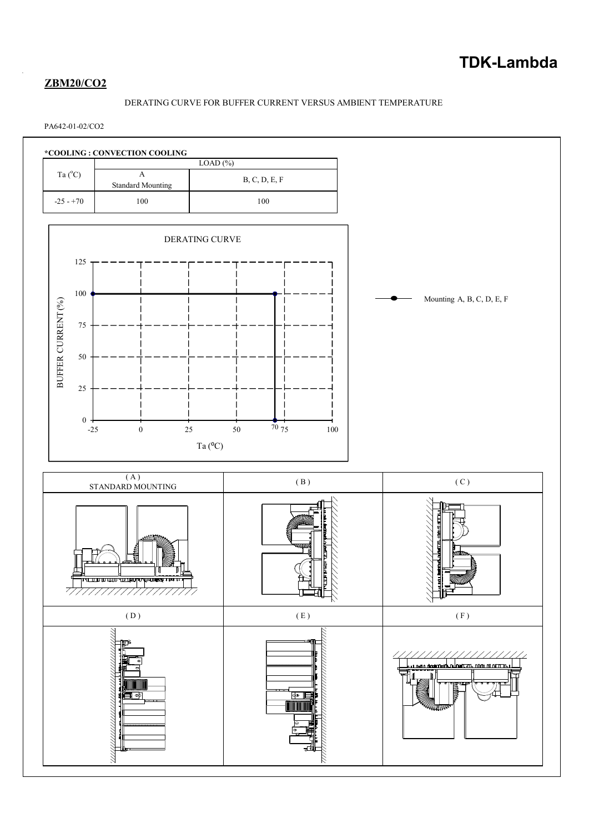# **ZBM20/CO2**

## DERATING CURVE FOR BUFFER CURRENT VERSUS AMBIENT TEMPERATURE

## PA642-01-02/CO2

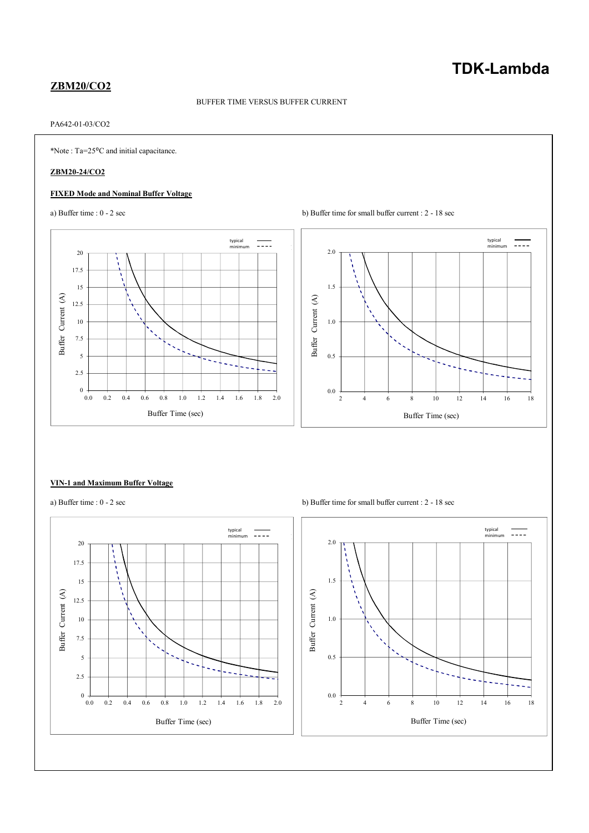# **TDK-Lambda**

## **ZBM20/CO2**

#### BUFFER TIME VERSUS BUFFER CURRENT

## PA642-01-03/CO2

\*Note : Ta=25⁰C and initial capacitance.

### **ZBM20-24/CO2**

### **FIXED Mode and Nominal Buffer Voltage**





#### **VIN-1 and Maximum Buffer Voltage**



a) Buffer time :  $0 - 2 \sec$  b) Buffer time for small buffer current :  $2 - 18 \sec$